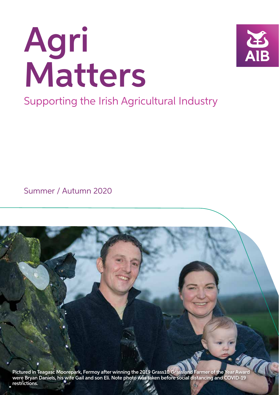# Agri Matters



Supporting the Irish Agricultural Industry

Summer / Autumn 2020

Pictured in Teagasc Moorepark, Fermoy after winning the 2019 Grass10 Grassland Farmer of the Year Award were Bryan Daniels, his wife Gail and son Eli. Note photo was taken before social distancing and COVID-19 restrictions.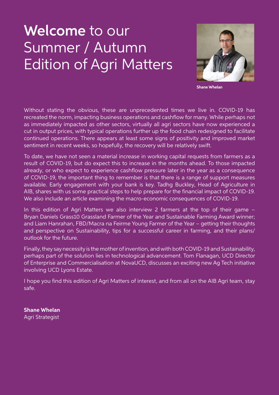# Welcome to our Summer / Autumn Edition of Agri Matters



**Shane Whelan**

Without stating the obvious, these are unprecedented times we live in. COVID-19 has recreated the norm, impacting business operations and cashflow for many. While perhaps not as immediately impacted as other sectors, virtually all agri sectors have now experienced a cut in output prices, with typical operations further up the food chain redesigned to facilitate continued operations. There appears at least some signs of positivity and improved market sentiment in recent weeks, so hopefully, the recovery will be relatively swift.

To date, we have not seen a material increase in working capital requests from farmers as a result of COVID-19, but do expect this to increase in the months ahead. To those impacted already, or who expect to experience cashflow pressure later in the year as a consequence of COVID-19, the important thing to remember is that there is a range of support measures available. Early engagement with your bank is key. Tadhg Buckley, Head of Agriculture in AIB, shares with us some practical steps to help prepare for the financial impact of COVID-19. We also include an article examining the macro-economic consequences of COVID-19.

In this edition of Agri Matters we also interview 2 farmers at the top of their game -Bryan Daniels Grass10 Grassland Farmer of the Year and Sustainable Farming Award winner; and Liam Hanrahan, FBD/Macra na Feirme Young Farmer of the Year – getting their thoughts and perspective on Sustainability, tips for a successful career in farming, and their plans/ outlook for the future.

Finally, they say necessity is the mother of invention, and with both COVID-19 and Sustainability, perhaps part of the solution lies in technological advancement. Tom Flanagan, UCD Director of Enterprise and Commercialisation at NovaUCD, discusses an exciting new Ag Tech initiative involving UCD Lyons Estate.

I hope you find this edition of Agri Matters of interest, and from all on the AIB Agri team, stay safe.

**Shane Whelan**  Agri Strategist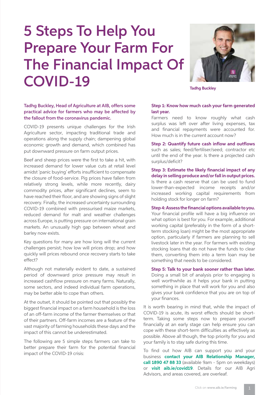# 5 Steps To Help You Prepare Your Farm For The Financial Impact Of COVID-19 **Tadhg Buckley**



Tadhg Buckley, Head of Agriculture at AIB, offers some practical advice for farmers who may be affected by the fallout from the coronavirus pandemic.

COVID-19 presents unique challenges for the Irish Agriculture sector, impacting traditional trade and operations along the supply chain; dampening global economic growth and demand, which combined has put downward pressure on farm output prices.

Beef and sheep prices were the first to take a hit, with increased demand for lower value cuts at retail level amidst 'panic buying' efforts insufficient to compensate the closure of food-service. Pig prices have fallen from relatively strong levels, while more recently, dairy commodity prices, after significant declines, seem to have reached their floor, and are showing signs of slight recovery. Finally, the increased uncertainty surrounding COVID-19 combined with pressurised maize markets, reduced demand for malt and weather challenges across Europe, is putting pressure on international grain markets. An unusually high gap between wheat and barley now exists.

Key questions for many are how long will the current challenges persist; how low will prices drop; and how quickly will prices rebound once recovery starts to take effect?

Although not materially evident to date, a sustained period of downward price pressure may result in increased cashflow pressure on many farms. Naturally, some sectors, and indeed individual farm operations, may be better able to cope than others.

At the outset, it should be pointed out that possibly the biggest financial impact on a farm household is the loss of an off-farm income of the farmer themselves or that of their partners. Off-farm incomes are a feature of the vast majority of farming households these days and the impact of this cannot be underestimated.

The following are 5 simple steps farmers can take to better prepare their farm for the potential financial impact of the COVID-19 crisis:

#### **Step 1: Know how much cash your farm generated last year.**

 Farmers need to know roughly what cash surplus was left over after living expenses, tax and financial repayments were accounted for. How much is in the current account now?

 **Step 2: Quantify future cash inflow and outflows**  such as sales; feed/fertiliser/seed; contractor etc until the end of the year. Is there a projected cash surplus/deficit?

 **Step 3: Estimate the likely financial impact of any delay in selling produce and/or fall in output prices.** Is there a cash reserve that can be used to fund lower-than-expected income receipts and/or increased working capital requirements from holding stock for longer on farm?

 **Step 4: Assess the financial options available to you.**

Your financial profile will have a big influence on what option is best for you. For example, additional working capital (preferably in the form of a shortterm stocking loan) might be the most appropriate option, particularly if farmers are planning to sell livestock later in the year. For farmers with existing stocking loans that do not have the funds to clear them, converting them into a term loan may be something that needs to be considered.

 **Step 5: Talk to your bank sooner rather than later.** Doing a small bit of analysis prior to engaging is well worthwhile as it helps your bank in putting something in place that will work for you and also gives your bank confidence that you are on top of your finances.

It is worth bearing in mind that, while the impact of COVID-19 is acute, its worst effects should be shortterm. Taking some steps now to prepare yourself financially at an early stage can help ensure you can cope with these short-term difficulties as effectively as possible. Above all though, the top priority for you and your family is to stay safe during this time.

To find out how AIB can support you and your business **contact your AIB Relationship Manager, call 1890 47 88 33** (available 9am - 5pm on weekdays) or **visit aib.ie/covid19**. Details for our AIB Agri Advisors, and areas covered, are overleaf.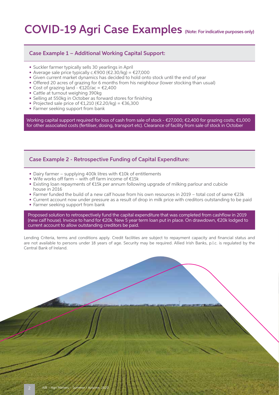### COVID-19 Agri Case Examples (Note: For indicative purposes only)

#### Case Example 1 – Additional Working Capital Support:

- Suckler farmer typically sells 30 yearlings in April
- Average sale price typically c.€900 (€2.30/kg) = €27,000
- Given current market dynamics has decided to hold onto stock until the end of year
- Offered 20 acres of grazing for 6 months from his neighbour (lower stocking than usual)
- Cost of grazing land  $£120/ac = £2,400$
- Cattle at turnout weighing 390kg
- Selling at 550kg in October as forward stores for finishing
- Projected sale price of  $\epsilon$ 1,210 ( $\epsilon$ 2.20/kg) =  $\epsilon$ 36,300
- Farmer seeking support from bank

Working capital support required for loss of cash from sale of stock - €27,000; €2,400 for grazing costs; €1,000 for other associated costs (fertiliser, dosing, transport etc). Clearance of facility from sale of stock in October

#### Case Example 2 - Retrospective Funding of Capital Expenditure:

- Dairy farmer supplying 400k litres with €10k of entitlements
- Wife works off farm with off farm income of €15k
- Existing loan repayments of €15k per annum following upgrade of milking parlour and cubicle house in 2016
- Farmer funded the build of a new calf house from his own resources in 2019 total cost of same €23k
- Current account now under pressure as a result of drop in milk price with creditors outstanding to be paid
- Farmer seeking support from bank

Proposed solution to retrospectively fund the capital expenditure that was completed from cashflow in 2019 (new calf house). Invoice to hand for €20k. New 5 year term loan put in place. On drawdown, €20k lodged to current account to allow outstanding creditors be paid.

Lending Criteria, terms and conditions apply. Credit facilities are subject to repayment capacity and financial status and are not available to persons under 18 years of age. Security may be required. Allied Irish Banks, p.l.c. is regulated by the Central Bank of Ireland.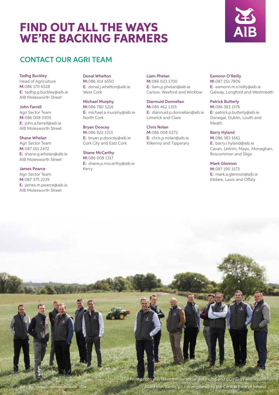### FIND OUT ALL THE WAYS WE'RE BACKING FARMERS



#### CONTACT OUR AGRI TEAM

#### Tadhg Buckley

Head of Agriculture M:086 170 6528 E: tadhg.g.buckley@aib.ie AIB Molesworth Street

#### John Farrell

Agri Sector Team M:086 008 0305 E: john.a.farrell@aib.ie AIB Molesworth Street

#### Shane Whelan

Agri Sector Team M:087 161 2472 E: shane.g.whelan@aib.ie AIB Molesworth Street

#### James Pearce

Agri Sector Team M:087 375 2239 E: james.m.pearce@aib.ie AIB Molesworth Street

#### Donal Whelton

M:086 414 6550 E: donal.j.whelton@aib.ie West Cork

#### Michael Murphy

M:086 780 5216 E: michael.a.murphy@aib.ie North Cork

#### Bryan Doocey

M:086 822 1313 E: bryan.p.doocey@aib.ie Cork City and East Cork

#### Shane McCarthy

M:086 008 1317 E: shane.p.mccarthy@aib.ie Kerry

#### Liam Phelan

M:086 023 1700 E: liam.p.phelan@aib.ie Carlow, Wexford and Wicklow

#### Diarmuid Donnellan

M:086 462 1355 E: diarmuid.p.donnellan@aib.ie Limerick and Clare

#### Chris Nolan M:086 008 0272

E: chris.p.nolan@aib.ie Kilkenny and Tipperary

#### Eamonn O'Reilly

M:087 251 7806 E: eamonn.m.o'reilly@aib.ie Galway, Longford and Westmeath

#### Patrick Butterly

M:086 383 1576 E: patrick.p.butterly@aib.ie Donegal, Dublin, Louth and Meath

#### Barry Hyland

M:086 383 1661 E: barry.l.hyland@aib.ie Cavan, Leitrim, Mayo, Monaghan, Roscommon and Sligo

#### Mark Glennon

M:087 190 3173 E: mark.a.glennon@aib.ie Kildare, Laois and Offaly

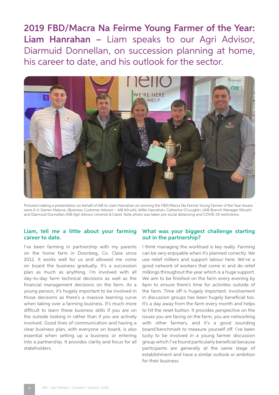2019 FBD/Macra Na Feirme Young Farmer of the Year: Liam Hanrahan – Liam speaks to our Agri Advisor, Diarmuid Donnellan, on succession planning at home, his career to date, and his outlook for the sector.



Pictured making a presentation on behalf of AIB to Liam Hanrahan on winning the FBD/Macra Na Feirme Young Farmer of the Year Aware were (l-r): Darren Malone, (Business Customer Advisor – AIB Kilrush), Willie Hanrahan, Catherine O'Loughin, (AIB Branch Manager Kilrush) and Diarmuid Donnellan (AIB Agri Advisor Limerick & Clare). Note photo was taken pre social distancing and COVID-19 restrictions.

#### Liam, tell me a little about your farming career to date.

I've been farming in partnership with my parents on the home farm in Doonbeg, Co. Clare since 2012. It works well for us and allowed me come on board the business gradually. It's a succession plan as much as anything. I'm involved with all day-to-day farm technical decisions as well as the financial management decisions on the farm. As a young person, it's hugely important to be involved in those decisions as there's a massive learning curve when taking over a farming business. It's much more difficult to learn these business skills if you are on the outside looking in rather than if you are actively involved. Good lines of communication and having a clear business plan, with everyone on board, is also essential when setting up a business or entering into a partnership. It provides clarity and focus for all stakeholders.

#### What was your biggest challenge starting out in the partnership?

I think managing the workload is key really. Farming can be very enjoyable when it's planned correctly. We use relief milkers and support labour here. We've a good network of workers that come in and do relief milkings throughout the year which is a huge support. We aim to be finished on the farm every evening by 6pm to ensure there's time for activities outside of the farm. Time off is hugely important. Involvement in discussion groups has been hugely beneficial too. It's a day away from the farm every month and helps to hit the reset button. It provides perspective on the issues you are facing on the farm, you are networking with other farmers, and it's a good sounding board/benchmark to measure yourself off. I've been lucky to be involved in a young farmer discussion group which I've found particularly beneficial because participants are generally at the same stage of establishment and have a similar outlook or ambition for their business.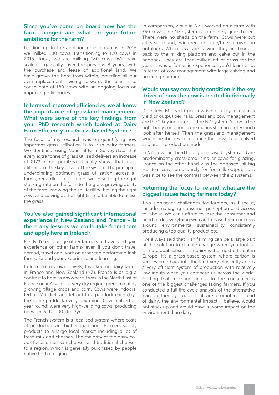#### Since you've come on board how has the farm changed and what are your future ambitions for the farm?

Leading up to the abolition of milk quotas in 2015 we milked 100 cows, transitioning to 120 cows in 2015. Today we are milking 180 cows. We have scaled organically, over the previous 8 years, with the purchase and lease of additional land. We have grown the herd from within, breeding all our own replacements. Going forward, the plan is to consolidate at 180 cows with an ongoing focus on improving efficiencies.

#### In terms of improved efficiencies, we all know the importance of grassland management. What were some of the key findings from your PhD research which looked at Dairy Farm Efficiency in a Grass-based System'?

The focus of my research was on quantifying how important grass utilisation is to Irish dairy farmers. We identified, using National Farm Survey data, that every extra tonne of grass utilised delivers an increase of €173 in net profit/ha. It really shows that grass utilisation is the key driver of the system. The principles underpinning optimum grass utilisation across all farms, regardless of location, were: setting the right stocking rate on the farm to the grass growing ability of the farm; knowing the soil fertility; having the right cow; and calving at the right time to be able to utilise the grass.

#### You've also gained significant international experience in New Zealand and France – is there any lessons we could take from them and apply here in Ireland?

Firstly, I'd encourage other farmers to travel and gain experience on other farms- even if you don't travel abroad, travel and work on other top performing Irish farms. Extend your experience and learning.

In terms of my own travels, I worked on dairy farms in France and New Zealand (NZ). France is as big a contrast to here as anywhere. I was in the North East of France near Alsace – a very dry region, predominately growing tillage crops and corn. Cows were indoors, fed a TMR diet, and let out to a paddock each daythe same paddock every day mind. Cows calved all year round; were very high-yeilding cows, producing between 9-10,000 litres/yr.

The French system is a localised system where costs of production are higher than ours. Farmers supply products to a large local market including a lot of fresh milk and cheeses. The majority of the dairy coops focus on artisan cheeses and traditional cheeses to a region, which is generally purchased by people native to that region.

In comparison, while in NZ I worked on a farm with 750 cows. The NZ system is completely grass based. There were no sheds on the farm. Cows were out all year round, wintered on kale/beet grown on outblocks. When cows are calving, they are brought back to the milking platform and calve out in the paddock. They are then milked off of grass for the year. It was a fantastic experience, you'd learn a lot in terms of cow management with large calving and breeding numbers.

#### Would you say cow body condition is the key driver of how the cow is treated individually in New Zealand?

Definitely. Milk yield per cow is not a key focus; milk yield or output per ha is. Grass and cow management are the 2 key indicators of the NZ system. A cow in the right body condition score means she can pretty much look after herself. Then the grassland management would be the key focus once the cows have calved and are in production mode.

In NZ, cows are bred for a grass-based system and are predominantly cross-bred, smaller cows for grazing. France on the other hand was the opposite; all big Holstein cows bred purely for for milk output, so it was nice to see the contrast between the 2 systems.

#### Returning the focus to Ireland, what are the biggest issues facing farmers today?

Two significant challenges for farmers, as I see it, include managing consumer perception and access to labour. We can't afford to lose the consumer and need to do everything we can to ease their concerns around environmental sustainability, consistently producing a top quality product etc.

I've always said that Irish farming can be a large part of the solution to climate change when you look at it in a global sense. Irish dairy is the most efficient in Europe. It's a grass-based system where carbon is sequestered back into the land very efficiently and is a very efficient system of production with relatively low inputs when you compare us across the world. Getting that message across to the consumer is one of the biggest challenges facing farmers. If you conducted a full life-cycle analysis of the alternative 'carbon friendly' foods that are promoted instead of dairy, the environmental impact, I believe, would not stack up and would have a worse impact on the environment than dairy.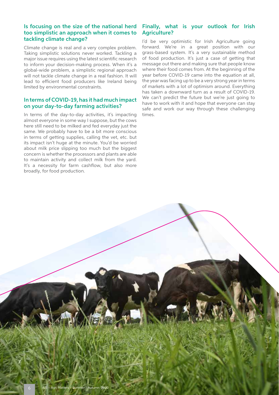#### Is focusing on the size of the national herd too simplistic an approach when it comes to tackling climate change?

Climate change is real and a very complex problem. Taking simplistic solutions never worked. Tackling a major issue requires using the latest scientific research to inform your decision-making process. When it's a global-wide problem, a simplistic regional approach will not tackle climate change in a real fashion. It will lead to efficient food producers like Ireland being limited by environmental constraints.

#### In terms of COVID-19, has it had much impact on your day-to-day farming activities?

In terms of the day-to-day activities, it's impacting almost everyone in some way I suppose, but the cows here still need to be milked and fed everyday just the same. We probably have to be a bit more conscious in terms of getting supplies, calling the vet, etc. but its impact isn't huge at the minute. You'd be worried about milk price slipping too much but the biggest concern is whether the processors and plants are able to maintain activity and collect milk from the yard. It's a necessity for farm cashflow, but also more broadly, for food production.

#### Finally, what is your outlook for Irish Agriculture?

I'd be very optimistic for Irish Agriculture going forward. We're in a great position with our grass-based system. It's a very sustainable method of food production. It's just a case of getting that message out there and making sure that people know where their food comes from. At the beginning of the year before COVID-19 came into the equation at all, the year was facing up to be a very strong year in terms of markets with a lot of optimism around. Everything has taken a downward turn as a result of COVID-19. We can't predict the future but we're just going to have to work with it and hope that everyone can stay safe and work our way through these challenging times.

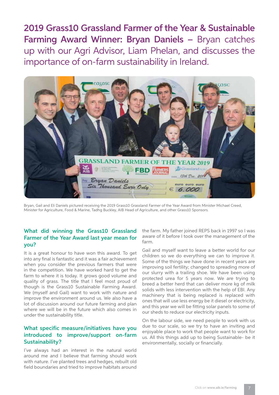2019 Grass10 Grassland Farmer of the Year & Sustainable Farming Award Winner: Bryan Daniels – Bryan catches up with our Agri Advisor, Liam Phelan, and discusses the importance of on-farm sustainability in Ireland.



Bryan, Gail and Eli Daniels pictured receiving the 2019 Grass10 Grassland Farmer of the Year Award from Minister Michael Creed, Minister for Agriculture, Food & Marine, Tadhg Buckley, AIB Head of Agriculture, and other Grass10 Sponsors.

#### What did winning the Grass10 Grassland Farmer of the Year Award last year mean for you?

It is a great honour to have won this award. To get into any final is fantastic and it was a fair achievement when you consider the previous farmers that were in the competition. We have worked hard to get the farm to where it is today. It grows good volume and quality of grass. The title that I feel most proud of though is the Grass10 Sustainable Farming Award. We (myself and Gail) want to work with nature and improve the environment around us. We also have a lot of discussion around our future farming and plan where we will be in the future which also comes in under the sustainability title.

#### What specific measure/initiatives have you introduced to improve/support on-farm Sustainability?

I've always had an interest in the natural world around me and I believe that farming should work with nature. I've planted trees and hedges, rebuilt old field boundaries and tried to improve habitats around

the farm. My father joined REPS back in 1997 so I was aware of it before I took over the management of the farm.

Gail and myself want to leave a better world for our children so we do everything we can to improve it. Some of the things we have done in recent years are improving soil fertility; changed to spreading more of our slurry with a trailing shoe. We have been using protected urea for 5 years now. We are trying to breed a better herd that can deliver more kg of milk solids with less intervention with the help of EBI. Any machinery that is being replaced is replaced with ones that will use less energy be it diesel or electricity, and this year we will be fitting solar panels to some of our sheds to reduce our electricity inputs.

On the labour side, we need people to work with us due to our scale, so we try to have an inviting and enjoyable place to work that people want to work for us. All this things add up to being Sustainable- be it environmentally, socially or financially.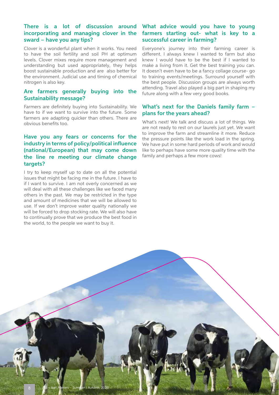# sward – have you any tips?

Clover is a wonderful plant when it works. You need to have the soil fertility and soil PH at optimum levels. Clover mixes require more management and understanding but used appropriately, they helps boost sustainable production and are also better for the environment. Judicial use and timing of chemical nitrogen is also key.

#### Are farmers generally buying into the Sustainability message?

Farmers are definitely buying into Sustainability. We have to if we want to survive into the future. Some farmers are adapting quicker than others. There are obvious benefits too.

#### Have you any fears or concerns for the industry in terms of policy/political influence (national/European) that may come down the line re meeting our climate change targets?

I try to keep myself up to date on all the potential issues that might be facing me in the future. I have to if I want to survive. I am not overly concerned as we will deal with all these challenges like we faced many others in the past. We may be restricted in the type and amount of medicines that we will be allowed to use. If we don't improve water quality nationally we will be forced to drop stocking rate. We will also have to continually prove that we produce the best food in the world, to the people we want to buy it.

#### There is a lot of discussion around What advice would you have to young incorporating and managing clover in the farmers starting out- what is key to a successful career in farming?

Everyone's journey into their farming career is different. I always knew I wanted to farm but also knew I would have to be the best if I wanted to make a living from it. Get the best training you can. It doesn't even have to be a fancy collage course- go to training events/meetings. Surround yourself with the best people. Discussion groups are always worth attending. Travel also played a big part in shaping my future along with a few very good books.

#### What's next for the Daniels family farm – plans for the years ahead?

What's next! We talk and discuss a lot of things. We are not ready to rest on our laurels just yet. We want to improve the farm and streamline it more. Reduce the pressure points like the work load in the spring. We have put in some hard periods of work and would like to perhaps have some more quality time with the family and perhaps a few more cows!

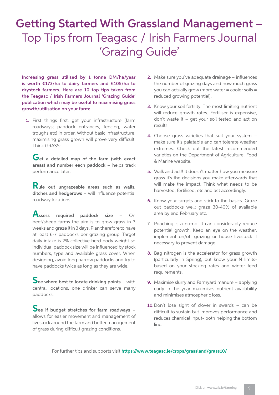## Getting Started With Grassland Management – Top Tips from Teagasc / Irish Farmers Journal 'Grazing Guide'

Increasing grass utilised by 1 tonne DM/ha/year is worth €173/ha to dairy farmers and €105/ha to drystock farmers. Here are 10 top tips taken from the Teagasc / Irish Farmers Journal 'Grazing Guide' publication which may be useful to maximising grass growth/utilisation on your farm:

1. First things first: get your infrastructure (farm roadways; paddock entrances, fencing, water troughs etc) in order. Without basic infrastructure, maximising grass grown will prove very difficult. Think GRASS:

Get a detailed map of the farm (with exact areas) and number each paddock – helps track performance later.

 **R**ule out ungrazeable areas such as walls, ditches and hedgerows – will influence potential roadway locations.

Assess required paddock size – On beef/sheep farms the aim is to grow grass in 3 weeks and graze it in 3 days. Plan therefore to have at least 6-7 paddocks per grazing group. Target daily intake is 2% collective herd body weight so individual paddock size will be influenced by stock numbers, type and available grass cover. When designing, avoid long narrow paddocks and try to have paddocks twice as long as they are wide.

See where best to locate drinking points – with central locations, one drinker can serve many paddocks.

 **S**ee if budget stretches for farm roadways – allows for easier movement and management of livestock around the farm and better management of grass during difficult grazing conditions.

- 2. Make sure you've adequate drainage influences the number of grazing days and how much grass you can actually grow (more water = cooler soils = reduced growing potential).
- 3. Know your soil fertility. The most limiting nutrient will reduce growth rates. Fertiliser is expensive, don't waste it – get your soil tested and act on results.
- 4. Choose grass varieties that suit your system make sure it's palatable and can tolerate weather extremes. Check out the latest recommended varieties on the Department of Agriculture, Food & Marine website.
- 5. Walk and act!! It doesn't matter how you measure grass it's the decisions you make afterwards that will make the impact. Think what needs to be harvested, fertilised, etc and act accordingly.
- 6. Know your targets and stick to the basics. Graze out paddocks well; graze 30-40% of available area by end February etc.
- 7. Poaching is a no-no. It can considerably reduce potential growth. Keep an eye on the weather, implement on/off grazing or house livestock if necessary to prevent damage.
- 8. Bag nitrogen is the accelerator for grass growth (particularly in Spring), but know your N limitsbased on your stocking rates and winter feed requirements.
- 9. Maximise slurry and Farmyard manure applying early in the year maximises nutrient availability and minimises atmospheric loss.
- 10. Don't lose sight of clover in swards can be difficult to sustain but improves performance and reduces chemical input- both helping the bottom line.

For further tips and supports visit **https://www.teagasc.ie/crops/grassland/grass10/**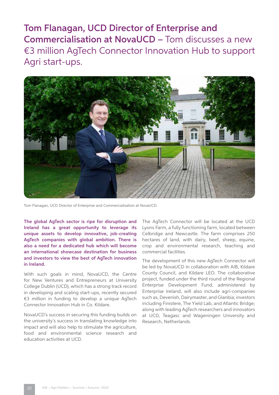Tom Flanagan, UCD Director of Enterprise and Commercialisation at NovaUCD – Tom discusses a new €3 million AgTech Connector Innovation Hub to support Agri start-ups.



Tom Flanagan, UCD Director of Enterprise and Commercialisation at NovaUCD.

The global AgTech sector is ripe for disruption and Ireland has a great opportunity to leverage its unique assets to develop innovative, job-creating AgTech companies with global ambition. There is also a need for a dedicated hub which will become an international showcase destination for business and investors to view the best of AgTech innovation in Ireland.

With such goals in mind, NovaUCD, the Centre for New Ventures and Entrepreneurs at University College Dublin (UCD), which has a strong track record in developing and scaling start-ups, recently secured €3 million in funding to develop a unique AgTech Connector Innovation Hub in Co. Kildare.

NovaUCD's success in securing this funding builds on the university's success in translating knowledge into impact and will also help to stimulate the agriculture, food and environmental science research and education activities at UCD.

The AgTech Connector will be located at the UCD Lyons Farm, a fully functioning farm, located between Celbridge and Newcastle. The farm comprises 250 hectares of land, with dairy, beef, sheep, equine, crop and environmental research, teaching and commercial facilities.

The development of this new AgTech Connector will be led by NovaUCD in collaboration with AIB, Kildare County Council, and Kildare LEO. The collaborative project, funded under the third round of the Regional Enterprise Development Fund, administered by Enterprise Ireland, will also include agri-companies such as, Devenish, Dairymaster, and Glanbia; investors including Finistere, The Yield Lab, and Atlantic Bridge; along with leading AgTech researchers and innovators at UCD, Teagasc and Wageningen University and Research, Netherlands.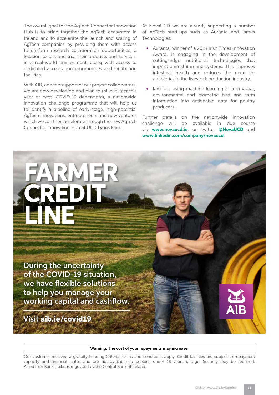The overall goal for the AgTech Connector Innovation Hub is to bring together the AgTech ecosystem in Ireland and to accelerate the launch and scaling of AgTech companies by providing them with access to on-farm research collaboration opportunities, a location to test and trial their products and services, in a real-world environment, along with access to dedicated acceleration programmes and incubation facilities.

With AIB, and the support of our project collaborators, we are now developing and plan to roll out later this year or next (COVID-19 dependent), a nationwide innovation challenge programme that will help us to identify a pipeline of early-stage, high-potential AgTech innovations, entrepreneurs and new ventures which we can then accelerate through the new AgTech Connector Innovation Hub at UCD Lyons Farm.

At NovaUCD we are already supporting a number of AgTech start-ups such as Auranta and Iamus Technologies:

- Auranta, winner of a 2019 Irish Times Innovation Award, is engaging in the development of cutting-edge nutritional technologies that imprint animal immune systems. This improves intestinal health and reduces the need for antibiotics in the livestock production industry.
- Iamus is using machine learning to turn visual, environmental and biometric bird and farm information into actionable data for poultry producers.

Further details on the nationwide innovation challenge will be available in due course via **www.novaucd.ie**; on twitter **@NovaUCD** and **www.linkedin.com/company/novaucd**.



#### Warning: The cost of your repayments may increase.

Our customer recieved a gratuity Lending Criteria, terms and conditions apply. Credit facilities are subject to repayment capacity and financial status and are not available to persons under 18 years of age. Security may be required. Allied Irish Banks, p.l.c. is regulated by the Central Bank of Ireland.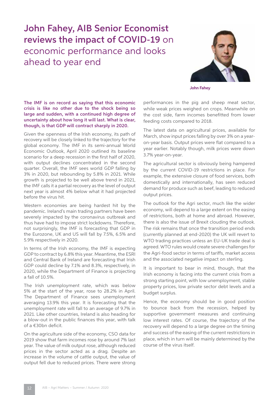### John Fahey, AIB Senior Economist reviews the impact of COVID-19 on economic performance and looks ahead to year end



**John Fahey**

The IMF is on record as saying that this economic crisis is like no other due to the shock being so large and sudden, with a continued high degree of uncertainty about how long it will last. What is clear, though, is that GDP will contract sharply in 2020.

Given the openness of the Irish economy, its path of recovery will be closely linked to the trajectory for the global economy. The IMF in its semi-annual World Economic Outlook, April 2020 outlined its baseline scenario for a deep recession in the first half of 2020, with output declines concentrated in the second quarter. Overall, the IMF sees world GDP falling by 3% in 2020, but rebounding by 5.8% in 2021. While growth is projected to be well above trend in 2021, the IMF calls it a partial recovery as the level of output next year is almost 4% below what it had projected before the virus hit.

Western economies are being hardest hit by the pandemic. Ireland's main trading partners have been severely impacted by the coronavirus outbreak and thus have had to impose strict lockdowns. Therefore, not surprisingly, the IMF is forecasting that GDP in the Eurozone, UK and US will fall by 7.5%, 6.5% and 5.9% respectively in 2020.

In terms of the Irish economy, the IMF is expecting GDP to contract by 6.8% this year. Meantime, the ESRI and Central Bank of Ireland are forecasting that Irish GDP could decline by 7.1% and 8.3%, respectively, in 2020, while the Department of Finance is projecting a fall of 10.5%.

The Irish unemployment rate, which was below 5% at the start of the year, rose to 28.2% in April. The Department of Finance sees unemployment averaging 13.9% this year. It is forecasting that the unemployment rate will fall to an average of 9.7% in 2021. Like other countries, Ireland is also heading for a blow-out in the public finances this year, with talk of a €30bn deficit.

On the agriculture side of the economy, CSO data for 2019 show that farm incomes rose by around 7% last year. The value of milk output rose, although reduced prices in the sector acted as a drag. Despite an increase in the volume of cattle output, the value of output fell due to reduced prices. There were strong

performances in the pig and sheep meat sector, while weak prices weighed on crops. Meanwhile on the cost side, farm incomes benefitted from lower feeding costs compared to 2018.

The latest data on agricultural prices, available for March, show input prices falling by over 3% on a yearon-year basis. Output prices were flat compared to a year earlier. Notably though, milk prices were down 3.7% year-on-year.

The agricultural sector is obviously being hampered by the current COVID-19 restrictions in place. For example, the extensive closure of food services, both domestically and internationally, has seen reduced demand for produce such as beef, leading to reduced output prices.

The outlook for the Agri sector, much like the wider economy, will depend to a large extent on the easing of restrictions, both at home and abroad. However, there is also the issue of Brexit clouding the outlook. The risk remains that once the transition period ends (currently planned at end-2020) the UK will revert to WTO trading practices unless an EU-UK trade deal is agreed. WTO rules would create severe challenges for the Agri-food sector in terms of tariffs, market access and the associated negative impact on sterling.

It is important to bear in mind, though, that the Irish economy is facing into the current crisis from a strong starting point, with low unemployment, stable property prices, low private sector debt levels and a budget surplus.

Hence, the economy should be in good position to bounce back from the recession, helped by supportive government measures and continuing low interest rates. Of course, the trajectory of the recovery will depend to a large degree on the timing and success of the easing of the current restrictions in place, which in turn will be mainly determined by the course of the virus itself.